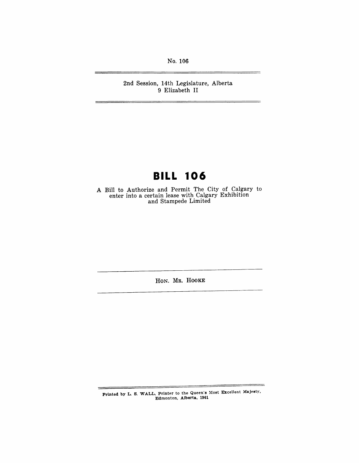No. 106

2nd Session, 14th Legislature, Alberta 9 Elizabeth II

# **BILL 106**

A Bill to Authorize and Permit The City of Calgary to enter into a certain lease with Calgary Exhibition and Stampede Limited

HON. MR. HOOKE

Printed by L. S. WALL, Printer to the Queen's Most Excellent Majesty. Edmonton. Alberta. 1961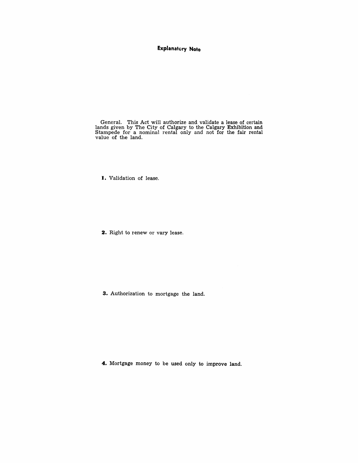### **Explanatory Note**

General. This Act will authorize and validate a lease of certain lands given by The City of Calgary to the Calgary Exhibition and Stampede for a nominal rental only and not for the fair rental value of the land.

I. Validation of lease.

**2.** Right to renew or vary lease.

**3.** Authorization to mortgage the land.

**4.** Mortgage money to be used only to improve land.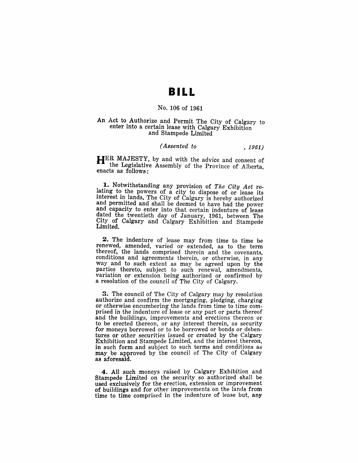### **BILL**

#### No. 106 of 1961

#### An Act to Authorize and Permit The City of Calgary to enter into a certain lease with Calgary Exhibition and Stampede Limited

#### *(Assented to* , 1961)

HER MAJESTY, by and with the advice and consent of the Legislative Assembly of the Province of Alberta, enacts as follows:

~. Notwithstanding any provision of *The City Act* relating to the powers of a city to dispose of or lease its interest in lands, The City of Calgary is hereby authorized and permitted and shall be deemed to have had the power and capacity to enter into that certain indenture of lease dated the twentieth day of January, 1961, between The City of Calgary and Calgary Exhibition and Stampede Limited.

2. The indenture of lease may from time to time be renewed, amended, varied or extended, as to the term thereof, the lands comprised therein and the covenants, conditions and agreements therein, or otherwise, in any way and to such extent as may be agreed upon by the parties thereto, subject to such renewal, amendments, variation or extension being authorized or confirmed by a resolution of the council of The City of Calgary.

3. The council of The City of Calgary may by resolution authorize and confirm the mortgaging, pledging, charging or otherwise encumbering the lands from time to time comprised in the indenture of lease or any part or parts thereof and the buildings, improvements and erections thereon or to be erected thereon, or any interest therein, as security for moneys borrowed or to be borrowed or bonds or debentures or other securities issued or created by the Calgary Exhibition and Stampede Limited, and the interest thereon, in such form and subject to such terms and conditions as may be approved by the council of The City of Calgary as aforesaid.

4. All such moneys raised by Calgary Exhibition and Stampede Limited on the security so authorized shall be used exclusively for the erection, extension or improvement of buildings and for other improvements on the lands from time to time comprised in the indenture of lease but, any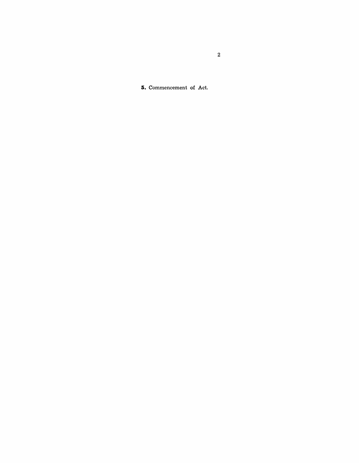**5.** Commencement of Act.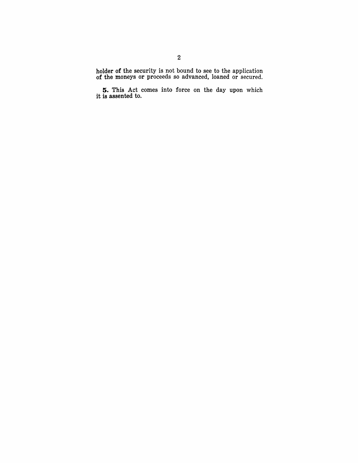holder of the security is not bound to see to the application of the moneys or proceeds so advanced, loaned or secured.

**5.** This Act comes into force on the day upon which it is assented to.